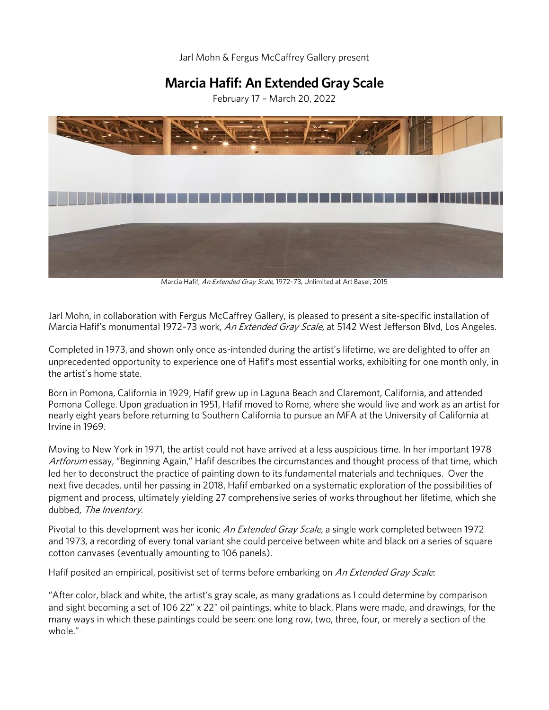Jarl Mohn & Fergus McCaffrey Gallery present

# **Marcia Hafif: An Extended Gray Scale**

February 17 – March 20, 2022



Marcia Hafif, An Extended Gray Scale, 1972-73, Unlimited at Art Basel, 2015

Jarl Mohn, in collaboration with Fergus McCaffrey Gallery, is pleased to present a site-specific installation of Marcia Hafif's monumental 1972-73 work, An Extended Gray Scale, at 5142 West Jefferson Blvd, Los Angeles.

Completed in 1973, and shown only once as-intended during the artist's lifetime, we are delighted to offer an unprecedented opportunity to experience one of Hafif's most essential works, exhibiting for one month only, in the artist's home state.

Born in Pomona, California in 1929, Hafif grew up in Laguna Beach and Claremont, California, and attended Pomona College. Upon graduation in 1951, Hafif moved to Rome, where she would live and work as an artist for nearly eight years before returning to Southern California to pursue an MFA at the University of California at Irvine in 1969.

Moving to New York in 1971, the artist could not have arrived at a less auspicious time. In her important 1978 Artforum essay, "Beginning Again," Hafif describes the circumstances and thought process of that time, which led her to deconstruct the practice of painting down to its fundamental materials and techniques. Over the next five decades, until her passing in 2018, Hafif embarked on a systematic exploration of the possibilities of pigment and process, ultimately yielding 27 comprehensive series of works throughout her lifetime, which she dubbed, The Inventory.

Pivotal to this development was her iconic *An Extended Gray Scale*, a single work completed between 1972 and 1973, a recording of every tonal variant she could perceive between white and black on a series of square cotton canvases (eventually amounting to 106 panels).

Hafif posited an empirical, positivist set of terms before embarking on An Extended Gray Scale:

"After color, black and white, the artist's gray scale, as many gradations as I could determine by comparison and sight becoming a set of 106 22" x 22" oil paintings, white to black. Plans were made, and drawings, for the many ways in which these paintings could be seen: one long row, two, three, four, or merely a section of the whole."